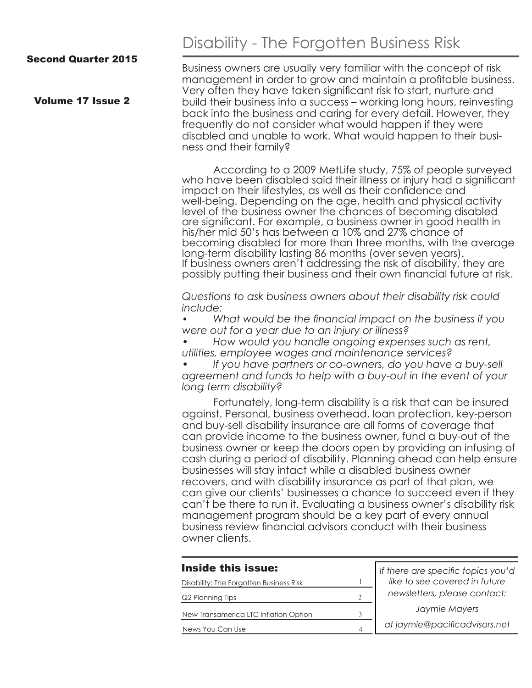Volume 17 Issue 2

# Disability - The Forgotten Business Risk

Business owners are usually very familiar with the concept of risk management in order to grow and maintain a profitable business. Very often they have taken significant risk to start, nurture and build their business into a success – working long hours, reinvesting back into the business and caring for every detail. However, they frequently do not consider what would happen if they were disabled and unable to work. What would happen to their business and their family?

According to a 2009 MetLife study, 75% of people surveyed who have been disabled said their illness or injury had a significant impact on their lifestyles, as well as their confidence and well-being. Depending on the age, health and physical activity level of the business owner the chances of becoming disabled are significant. For example, a business owner in good health in his/her mid 50's has between a 10% and 27% chance of becoming disabled for more than three months, with the average long-term disability lasting 86 months (over seven years). If business owners aren't addressing the risk of disability, they are possibly putting their business and their own financial future at risk.

*Questions to ask business owners about their disability risk could include:* 

*• What would be the financial impact on the business if you were out for a year due to an injury or illness?*

*• How would you handle ongoing expenses such as rent, utilities, employee wages and maintenance services?*

*• If you have partners or co-owners, do you have a buy-sell agreement and funds to help with a buy-out in the event of your long term disability?* 

Fortunately, long-term disability is a risk that can be insured against. Personal, business overhead, loan protection, key-person and buy-sell disability insurance are all forms of coverage that can provide income to the business owner, fund a buy-out of the business owner or keep the doors open by providing an infusing of cash during a period of disability. Planning ahead can help ensure businesses will stay intact while a disabled business owner recovers, and with disability insurance as part of that plan, we can give our clients' businesses a chance to succeed even if they can't be there to run it. Evaluating a business owner's disability risk management program should be a key part of every annual business review financial advisors conduct with their business owner clients.

| If there are specific topics you'd<br>like to see covered in future<br>Disability: The Forgotten Business Risk |  |
|----------------------------------------------------------------------------------------------------------------|--|
|                                                                                                                |  |
| newsletters, please contact:<br>Q2 Planning Tips                                                               |  |
| Jaymie Mayers<br>New Transamerica LTC Inflation Option<br>3                                                    |  |
| at jaymie@pacificadvisors.net<br>News You Can Use<br>$\Delta$                                                  |  |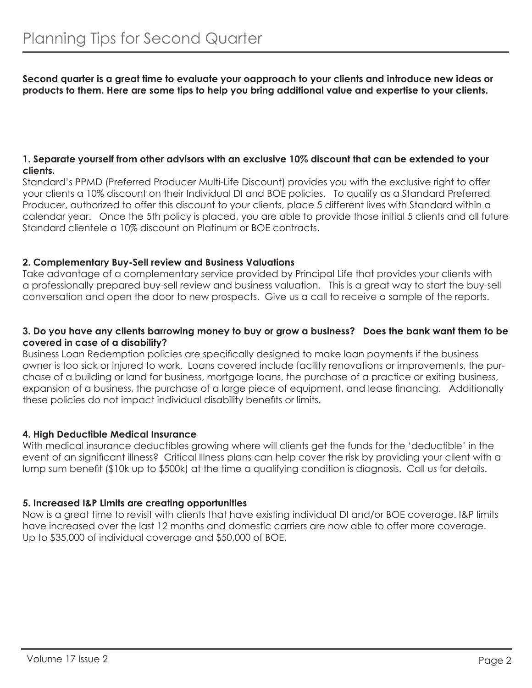**Second quarter is a great time to evaluate your oapproach to your clients and introduce new ideas or products to them. Here are some tips to help you bring additional value and expertise to your clients.** 

#### **1. Separate yourself from other advisors with an exclusive 10% discount that can be extended to your clients.**

Standard's PPMD (Preferred Producer Multi-Life Discount) provides you with the exclusive right to offer your clients a 10% discount on their Individual DI and BOE policies. To qualify as a Standard Preferred Producer, authorized to offer this discount to your clients, place 5 different lives with Standard within a calendar year. Once the 5th policy is placed, you are able to provide those initial 5 clients and all future Standard clientele a 10% discount on Platinum or BOE contracts.

### **2. Complementary Buy-Sell review and Business Valuations**

Take advantage of a complementary service provided by Principal Life that provides your clients with a professionally prepared buy-sell review and business valuation. This is a great way to start the buy-sell conversation and open the door to new prospects. Give us a call to receive a sample of the reports.

#### **3. Do you have any clients barrowing money to buy or grow a business? Does the bank want them to be covered in case of a disability?**

Business Loan Redemption policies are specifically designed to make loan payments if the business owner is too sick or injured to work. Loans covered include facility renovations or improvements, the purchase of a building or land for business, mortgage loans, the purchase of a practice or exiting business, expansion of a business, the purchase of a large piece of equipment, and lease financing. Additionally these policies do not impact individual disability benefits or limits.

#### **4. High Deductible Medical Insurance**

With medical insurance deductibles growing where will clients get the funds for the 'deductible' in the event of an significant illness? Critical Illness plans can help cover the risk by providing your client with a lump sum benefit (\$10k up to \$500k) at the time a qualifying condition is diagnosis. Call us for details.

## **5. Increased I&P Limits are creating opportunities**

Now is a great time to revisit with clients that have existing individual DI and/or BOE coverage. I&P limits have increased over the last 12 months and domestic carriers are now able to offer more coverage. Up to \$35,000 of individual coverage and \$50,000 of BOE.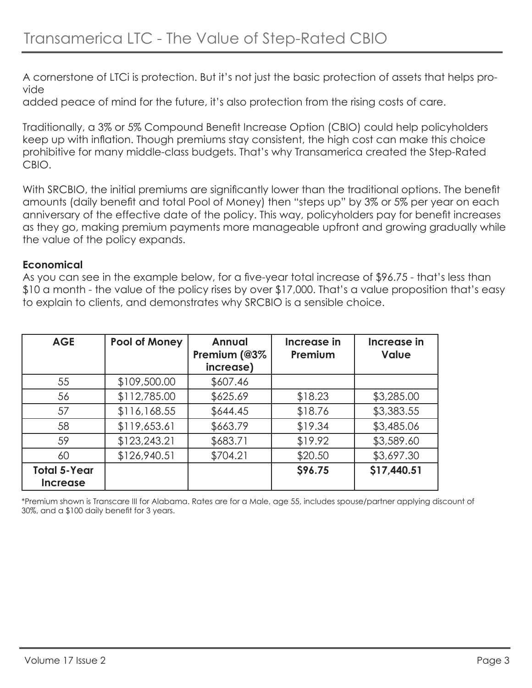A cornerstone of LTCi is protection. But it's not just the basic protection of assets that helps provide

added peace of mind for the future, it's also protection from the rising costs of care.

Traditionally, a 3% or 5% Compound Benefit Increase Option (CBIO) could help policyholders keep up with inflation. Though premiums stay consistent, the high cost can make this choice prohibitive for many middle-class budgets. That's why Transamerica created the Step-Rated CBIO.

With SRCBIO, the initial premiums are significantly lower than the traditional options. The benefit amounts (daily benefit and total Pool of Money) then "steps up" by 3% or 5% per year on each anniversary of the effective date of the policy. This way, policyholders pay for benefit increases as they go, making premium payments more manageable upfront and growing gradually while the value of the policy expands.

## **Economical**

As you can see in the example below, for a five-year total increase of \$96.75 - that's less than \$10 a month - the value of the policy rises by over \$17,000. That's a value proposition that's easy to explain to clients, and demonstrates why SRCBIO is a sensible choice.

| <b>AGE</b>                             | Pool of Money | <b>Annual</b><br>Premium (@3%<br>increase) | Increase in<br>Premium | Increase in<br><b>Value</b> |
|----------------------------------------|---------------|--------------------------------------------|------------------------|-----------------------------|
| 55                                     | \$109,500.00  | \$607.46                                   |                        |                             |
| 56                                     | \$112,785.00  | \$625.69                                   | \$18.23                | \$3,285.00                  |
| 57                                     | \$116,168.55  | \$644.45                                   | \$18.76                | \$3,383.55                  |
| 58                                     | \$119,653.61  | \$663.79                                   | \$19.34                | \$3,485.06                  |
| 59                                     | \$123,243.21  | \$683.71                                   | \$19.92                | \$3,589.60                  |
| 60                                     | \$126,940.51  | \$704.21                                   | \$20.50                | \$3,697.30                  |
| <b>Total 5-Year</b><br><b>Increase</b> |               |                                            | <b>S96.75</b>          | \$17,440.51                 |

\*Premium shown is Transcare III for Alabama. Rates are for a Male, age 55, includes spouse/partner applying discount of 30%, and a \$100 daily benefit for 3 years.